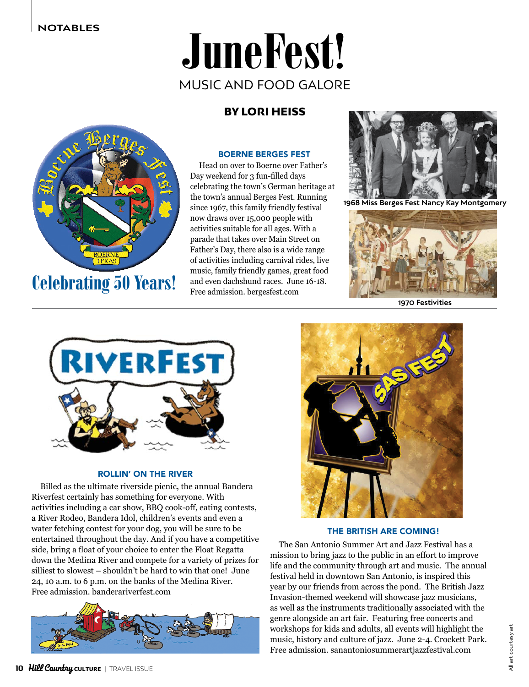# JuneFest! MUSIC AND FOOD GALORE

# BY LORI HEISS



Celebrating 50 Years!

### BOERNE BERGES FEST

Head on over to Boerne over Father's Day weekend for 3 fun-filled days celebrating the town's German heritage at the town's annual Berges Fest. Running since 1967, this family friendly festival now draws over 15,000 people with activities suitable for all ages. With a parade that takes over Main Street on Father's Day, there also is a wide range of activities including carnival rides, live music, family friendly games, great food and even dachshund races. June 16-18. Free admission. bergesfest.com



**1968 Miss Berges Fest Nancy Kay Montgomery**



**1970 Festivities**



#### ROLLIN' ON THE RIVER

Billed as the ultimate riverside picnic, the annual Bandera Riverfest certainly has something for everyone. With activities including a car show, BBQ cook-off, eating contests, a River Rodeo, Bandera Idol, children's events and even a water fetching contest for your dog, you will be sure to be entertained throughout the day. And if you have a competitive side, bring a float of your choice to enter the Float Regatta down the Medina River and compete for a variety of prizes for silliest to slowest – shouldn't be hard to win that one! June 24, 10 a.m. to 6 p.m. on the banks of the Medina River. Free admission. banderariverfest.com





#### THE BRITISH ARE COMING!

The San Antonio Summer Art and Jazz Festival has a mission to bring jazz to the public in an effort to improve life and the community through art and music. The annual festival held in downtown San Antonio, is inspired this year by our friends from across the pond. The British Jazz Invasion-themed weekend will showcase jazz musicians, as well as the instruments traditionally associated with the genre alongside an art fair. Featuring free concerts and workshops for kids and adults, all events will highlight the music, history and culture of jazz. June 2-4. Crockett Park. Free admission. sanantoniosummerartjazzfestival.com

All art courtesy art

All art courtesy art